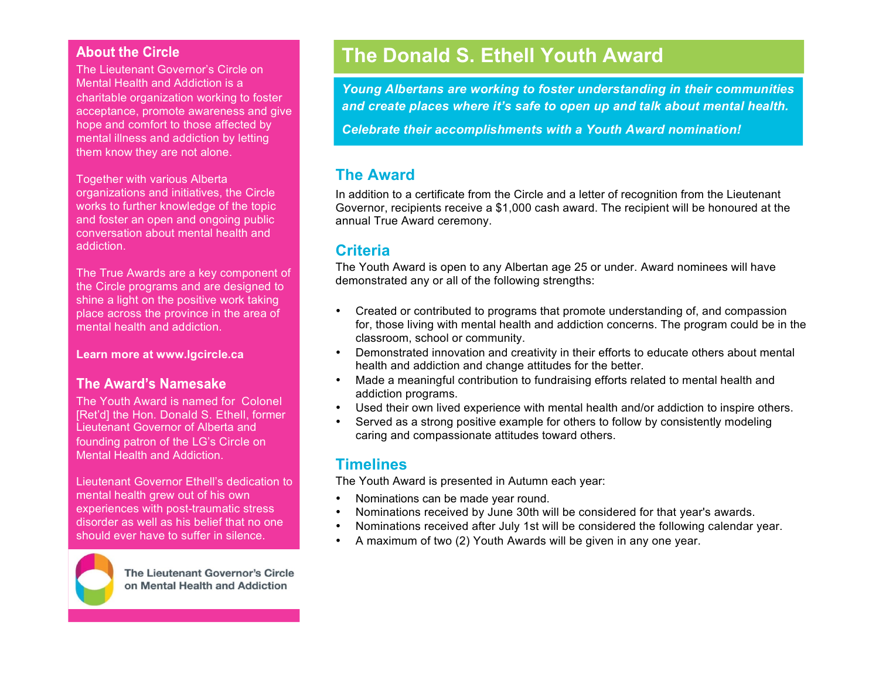#### **About the Circle**

The Lieutenant Governor's Circle on Mental Health and Addiction is a charitable organization working to foster acceptance, promote awareness and give hope and comfort to those affected by mental illness and addiction by letting them know they are not alone.

Together with various Alberta organizations and initiatives, the Circle works to further knowledge of the topic and foster an open and ongoing public conversation about mental health and addiction.

The True Awards are a key component of the Circle programs and are designed to shine a light on the positive work taking place across the province in the area of mental health and addiction.

**Learn more at www.lgcircle.ca**

#### The Award's Namesake

The Youth Award is named for Colonel [Ret'd] the Hon. Donald S. Ethell, former Lieutenant Governor of Alberta and founding patron of the LG's Circle on Mental Health and Addiction.

Lieutenant Governor Ethell's dedication to mental health grew out of his own experiences with post-traumatic stress disorder as well as his belief that no one should ever have to suffer in silence.



The Lieutenant Governor's Circle on Mental Health and Addiction

## **The Donald S. Ethell Youth Award**

*Young Albertans are working to foster understanding in their communities and create places where it's safe to open up and talk about mental health.*

*Celebrate their accomplishments with a Youth Award nomination!* 

#### **The Award**

In addition to a certificate from the Circle and a letter of recognition from the Lieutenant Governor, recipients receive a \$1,000 cash award. The recipient will be honoured at the annual True Award ceremony.

### **Criteria**

The Youth Award is open to any Albertan age 25 or under. Award nominees will have demonstrated any or all of the following strengths:

- Created or contributed to programs that promote understanding of, and compassion for, those living with mental health and addiction concerns. The program could be in the classroom, school or community.
- Demonstrated innovation and creativity in their efforts to educate others about mental health and addiction and change attitudes for the better.
- Made a meaningful contribution to fundraising efforts related to mental health and addiction programs.
- Used their own lived experience with mental health and/or addiction to inspire others.
- Served as a strong positive example for others to follow by consistently modeling caring and compassionate attitudes toward others.

#### **Timelines**

The Youth Award is presented in Autumn each year:

- Nominations can be made year round.
- Nominations received by June 30th will be considered for that year's awards.
- Nominations received after July 1st will be considered the following calendar year.
- A maximum of two (2) Youth Awards will be given in any one year.